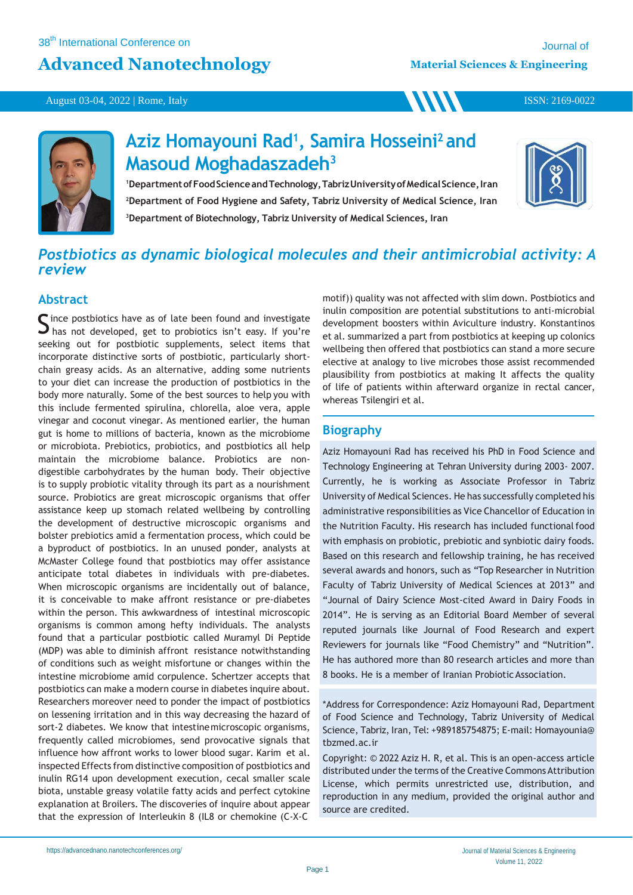## **Advanced Nanotechnology**

**WW** 

August 03-04, 2022 | Rome, Italy



# **Aziz Homayouni Rad<sup>1</sup> , Samira Hosseini<sup>2</sup>and Masoud Moghadaszadeh<sup>3</sup>**

1Department of Food Science and Technology, Tabriz University of Medical Science, Iran **<sup>2</sup>Department of Food Hygiene and Safety, Tabriz University of Medical Science, Iran <sup>3</sup>Department of Biotechnology, Tabriz University of Medical Sciences, Iran**



ISSN: 2169-0022

## *Postbiotics as dynamic biological molecules and their antimicrobial activity: A review*

### **Abstract**

Since postbiotics have as of late been found and investigate<br>S has not developed, get to probiotics isn't easy. If you're  $\Box$  has not developed, get to probiotics isn't easy. If you're seeking out for postbiotic supplements, select items that incorporate distinctive sorts of postbiotic, particularly shortchain greasy acids. As an alternative, adding some nutrients to your diet can increase the production of postbiotics in the body more naturally. Some of the best sources to help you with this include fermented spirulina, chlorella, aloe vera, apple vinegar and coconut vinegar. As mentioned earlier, the human gut is home to millions of bacteria, known as the microbiome or microbiota. Prebiotics, probiotics, and postbiotics all help maintain the microbiome balance. Probiotics are nondigestible carbohydrates by the human body. Their objective is to supply probiotic vitality through its part as a nourishment source. Probiotics are great microscopic organisms that offer assistance keep up stomach related wellbeing by controlling the development of destructive microscopic organisms and bolster prebiotics amid a fermentation process, which could be a byproduct of postbiotics. In an unused ponder, analysts at McMaster College found that postbiotics may offer assistance anticipate total diabetes in individuals with pre-diabetes. When microscopic organisms are incidentally out of balance, it is conceivable to make affront resistance or pre-diabetes within the person. This awkwardness of intestinal microscopic organisms is common among hefty individuals. The analysts found that a particular postbiotic called Muramyl Di Peptide (MDP) was able to diminish affront resistance notwithstanding of conditions such as weight misfortune or changes within the intestine microbiome amid corpulence. Schertzer accepts that postbiotics can make a modern course in diabetes inquire about. Researchers moreover need to ponder the impact of postbiotics on lessening irritation and in this way decreasing the hazard of sort-2 diabetes. We know that intestinemicroscopic organisms, frequently called microbiomes, send provocative signals that influence how affront works to lower blood sugar. Karim et al. inspected Effects from distinctive composition of postbiotics and inulin RG14 upon development execution, cecal smaller scale biota, unstable greasy volatile fatty acids and perfect cytokine explanation at Broilers. The discoveries of inquire about appear that the expression of Interleukin 8 (IL8 or chemokine (C-X-C

motif)) quality was not affected with slim down. Postbiotics and inulin composition are potential substitutions to anti-microbial development boosters within Aviculture industry. Konstantinos et al. summarized a part from postbiotics at keeping up colonics wellbeing then offered that postbiotics can stand a more secure elective at analogy to live microbes those assist recommended plausibility from postbiotics at making It affects the quality of life of patients within afterward organize in rectal cancer, whereas Tsilengiri et al.

### **Biography**

Aziz Homayouni Rad has received his PhD in Food Science and Technology Engineering at Tehran University during 2003- 2007. Currently, he is working as Associate Professor in Tabriz University of Medical Sciences. He has successfully completed his administrative responsibilities as Vice Chancellor of Education in the Nutrition Faculty. His research has included functional food with emphasis on probiotic, prebiotic and synbiotic dairy foods. Based on this research and fellowship training, he has received several awards and honors, such as "Top Researcher in Nutrition Faculty of Tabriz University of Medical Sciences at 2013" and "Journal of Dairy Science Most-cited Award in Dairy Foods in 2014". He is serving as an Editorial Board Member of several reputed journals like Journal of Food Research and expert Reviewers for journals like "Food Chemistry" and "Nutrition". He has authored more than 80 research articles and more than 8 books. He is a member of Iranian Probiotic Association.

\*Address for Correspondence: Aziz Homayouni Rad, Department of Food Science and Technology, Tabriz University of Medical Science, Tabriz, Iran, Tel: +989185754875; E-mail: Homayounia@ tbzmed.ac.ir

Copyright: © 2022 Aziz H. R, et al. This is an open-access article distributed under the terms of the Creative Commons Attribution License, which permits unrestricted use, distribution, and reproduction in any medium, provided the original author and source are credited.